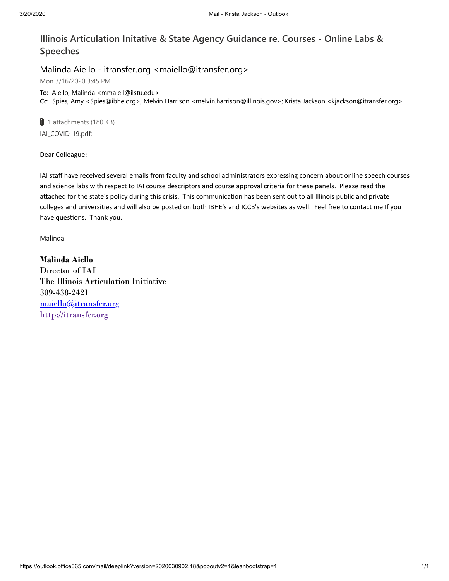## **Illinois Articulation Initative & State Agency Guidance re. Courses - Online Labs & Speeches**

## Malinda Aiello - itransfer.org <maiello@itransfer.org>

Mon 3/16/2020 3:45 PM

**To:** Aiello, Malinda <mmaiell@ilstu.edu> **Cc:** Spies, Amy <Spies@ibhe.org>; Melvin Harrison <melvin.harrison@illinois.gov>; Krista Jackson <kjackson@itransfer.org>

**U** 1 attachments (180 KB) IAI\_COVID-19.pdf;

Dear Colleague:

IAI staff have received several emails from faculty and school administrators expressing concern about online speech courses and science labs with respect to IAI course descriptors and course approval criteria for these panels. Please read the attached for the state's policy during this crisis. This communication has been sent out to all Illinois public and private colleges and universities and will also be posted on both IBHE's and ICCB's websites as well. Feel free to contact me If you have questions. Thank you.

Malinda

**Malinda Aiello** Director of IAI The Illinois Articulation Initiative 309-438-2421 [maiello@itransfer.org](mailto:mmaiell@ilstu.edu) [http://itransfer.org](http://itransfer.org/)